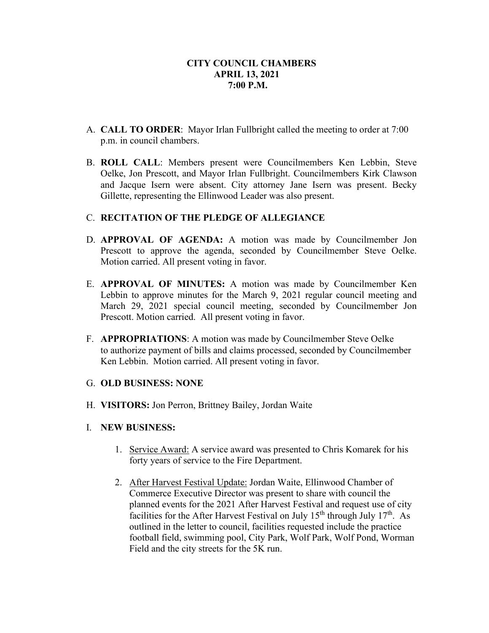- A. **CALL TO ORDER**: Mayor Irlan Fullbright called the meeting to order at 7:00 p.m. in council chambers.
- B. **ROLL CALL**: Members present were Councilmembers Ken Lebbin, Steve Oelke, Jon Prescott, and Mayor Irlan Fullbright. Councilmembers Kirk Clawson and Jacque Isern were absent. City attorney Jane Isern was present. Becky Gillette, representing the Ellinwood Leader was also present.

# C. **RECITATION OF THE PLEDGE OF ALLEGIANCE**

- D. **APPROVAL OF AGENDA:** A motion was made by Councilmember Jon Prescott to approve the agenda, seconded by Councilmember Steve Oelke. Motion carried. All present voting in favor.
- E. **APPROVAL OF MINUTES:** A motion was made by Councilmember Ken Lebbin to approve minutes for the March 9, 2021 regular council meeting and March 29, 2021 special council meeting, seconded by Councilmember Jon Prescott. Motion carried. All present voting in favor.
- F. **APPROPRIATIONS**: A motion was made by Councilmember Steve Oelke to authorize payment of bills and claims processed, seconded by Councilmember Ken Lebbin. Motion carried. All present voting in favor.
- G. **OLD BUSINESS: NONE**
- H. **VISITORS:** Jon Perron, Brittney Bailey, Jordan Waite
- I. **NEW BUSINESS:**
	- 1. Service Award: A service award was presented to Chris Komarek for his forty years of service to the Fire Department.
	- 2. After Harvest Festival Update: Jordan Waite, Ellinwood Chamber of Commerce Executive Director was present to share with council the planned events for the 2021 After Harvest Festival and request use of city facilities for the After Harvest Festival on July  $15<sup>th</sup>$  through July  $17<sup>th</sup>$ . As outlined in the letter to council, facilities requested include the practice football field, swimming pool, City Park, Wolf Park, Wolf Pond, Worman Field and the city streets for the 5K run.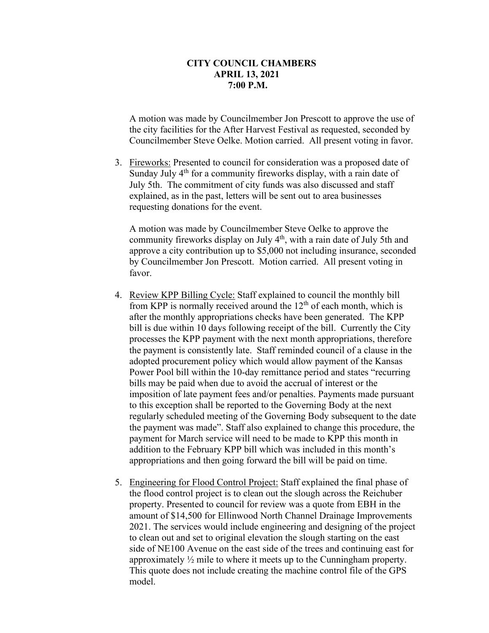A motion was made by Councilmember Jon Prescott to approve the use of the city facilities for the After Harvest Festival as requested, seconded by Councilmember Steve Oelke. Motion carried. All present voting in favor.

3. Fireworks: Presented to council for consideration was a proposed date of Sunday July  $4<sup>th</sup>$  for a community fireworks display, with a rain date of July 5th. The commitment of city funds was also discussed and staff explained, as in the past, letters will be sent out to area businesses requesting donations for the event.

A motion was made by Councilmember Steve Oelke to approve the community fireworks display on July  $4<sup>th</sup>$ , with a rain date of July 5th and approve a city contribution up to \$5,000 not including insurance, seconded by Councilmember Jon Prescott. Motion carried. All present voting in favor.

- 4. Review KPP Billing Cycle: Staff explained to council the monthly bill from KPP is normally received around the  $12<sup>th</sup>$  of each month, which is after the monthly appropriations checks have been generated. The KPP bill is due within 10 days following receipt of the bill. Currently the City processes the KPP payment with the next month appropriations, therefore the payment is consistently late. Staff reminded council of a clause in the adopted procurement policy which would allow payment of the Kansas Power Pool bill within the 10-day remittance period and states "recurring bills may be paid when due to avoid the accrual of interest or the imposition of late payment fees and/or penalties. Payments made pursuant to this exception shall be reported to the Governing Body at the next regularly scheduled meeting of the Governing Body subsequent to the date the payment was made". Staff also explained to change this procedure, the payment for March service will need to be made to KPP this month in addition to the February KPP bill which was included in this month's appropriations and then going forward the bill will be paid on time.
- 5. Engineering for Flood Control Project: Staff explained the final phase of the flood control project is to clean out the slough across the Reichuber property. Presented to council for review was a quote from EBH in the amount of \$14,500 for Ellinwood North Channel Drainage Improvements 2021. The services would include engineering and designing of the project to clean out and set to original elevation the slough starting on the east side of NE100 Avenue on the east side of the trees and continuing east for approximately  $\frac{1}{2}$  mile to where it meets up to the Cunningham property. This quote does not include creating the machine control file of the GPS model.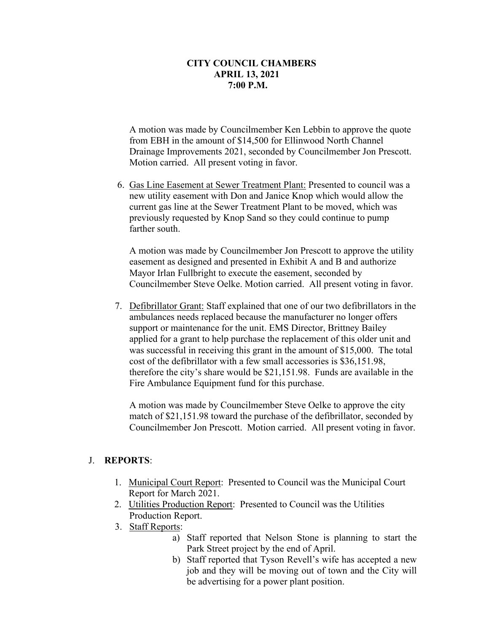A motion was made by Councilmember Ken Lebbin to approve the quote from EBH in the amount of \$14,500 for Ellinwood North Channel Drainage Improvements 2021, seconded by Councilmember Jon Prescott. Motion carried. All present voting in favor.

6. Gas Line Easement at Sewer Treatment Plant: Presented to council was a new utility easement with Don and Janice Knop which would allow the current gas line at the Sewer Treatment Plant to be moved, which was previously requested by Knop Sand so they could continue to pump farther south.

A motion was made by Councilmember Jon Prescott to approve the utility easement as designed and presented in Exhibit A and B and authorize Mayor Irlan Fullbright to execute the easement, seconded by Councilmember Steve Oelke. Motion carried. All present voting in favor.

 7. Defibrillator Grant: Staff explained that one of our two defibrillators in the ambulances needs replaced because the manufacturer no longer offers support or maintenance for the unit. EMS Director, Brittney Bailey applied for a grant to help purchase the replacement of this older unit and was successful in receiving this grant in the amount of \$15,000. The total cost of the defibrillator with a few small accessories is \$36,151.98, therefore the city's share would be \$21,151.98. Funds are available in the Fire Ambulance Equipment fund for this purchase.

A motion was made by Councilmember Steve Oelke to approve the city match of \$21,151.98 toward the purchase of the defibrillator, seconded by Councilmember Jon Prescott. Motion carried. All present voting in favor.

#### J. **REPORTS**:

- 1. Municipal Court Report: Presented to Council was the Municipal Court Report for March 2021.
- 2. Utilities Production Report: Presented to Council was the Utilities Production Report.
- 3. Staff Reports:
	- a) Staff reported that Nelson Stone is planning to start the Park Street project by the end of April.
	- b) Staff reported that Tyson Revell's wife has accepted a new job and they will be moving out of town and the City will be advertising for a power plant position.